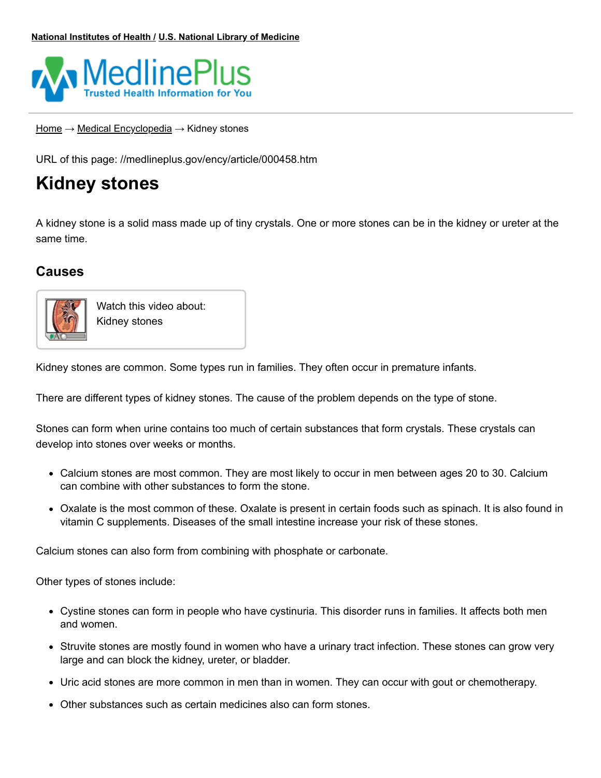

[Home](https://medlineplus.gov/) → Medical [Encyclopedia](https://medlineplus.gov/encyclopedia.html) → Kidney stones

URL of this page: //medlineplus.gov/ency/article/000458.htm

# **Kidney stones**

A kidney stone is a solid mass made up of tiny crystals. One or more stones can be in the kidney or ureter at the same time.

# **Causes**



Watch this video about: [Kidney](https://medlineplus.gov/ency/anatomyvideos/000075.htm) stones

Kidney stones are common. Some types run in families. They often occur in premature infants.

There are different types of kidney stones. The cause of the problem depends on the type of stone.

Stones can form when urine contains too much of certain substances that form crystals. These crystals can develop into stones over weeks or months.

- Calcium stones are most common. They are most likely to occur in men between ages 20 to 30. Calcium can combine with other substances to form the stone.
- Oxalate is the most common of these. Oxalate is present in certain foods such as spinach. It is also found in vitamin C supplements. Diseases of the small intestine increase your risk of these stones.

Calcium stones can also form from combining with phosphate or carbonate.

Other types of stones include:

- Cystine stones can form in people who have [cystinuria](https://medlineplus.gov/ency/article/000346.htm). This disorder runs in families. It affects both men and women.
- Struvite stones are mostly found in women who have a urinary tract infection. These stones can grow very large and can block the kidney, ureter, or bladder.
- Uric acid stones are more common in men than in women. They can occur with gout or chemotherapy.
- Other substances such as certain medicines also can form stones.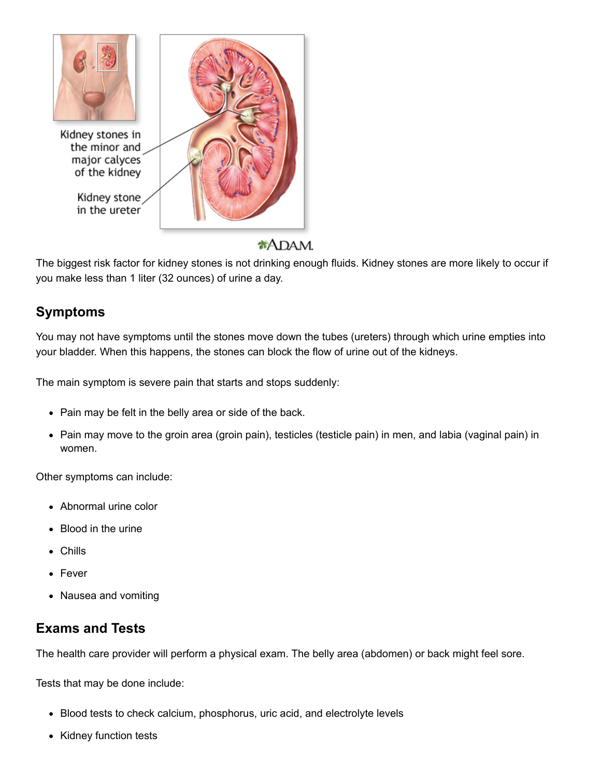

#### $*$ ADAM.

The biggest risk factor for kidney stones is not drinking enough fluids. Kidney stones are more likely to occur if you make less than 1 liter (32 ounces) of urine a day.

# **Symptoms**

You may not have symptoms until the stones move down the tubes (ureters) through which urine empties into your bladder. When this happens, the stones can block the flow of urine out of the kidneys.

The main symptom is severe pain that starts and stops suddenly:

- Pain may be felt in the belly area or side of the back.
- Pain may move to the groin area [\(groin](https://medlineplus.gov/ency/article/003111.htm) pain), testicles [\(testicle](https://medlineplus.gov/ency/article/003160.htm) pain) in men, and labia (vaginal pain) in women.

Other symptoms can include:

- [Abnormal](https://medlineplus.gov/ency/article/003139.htm) urine color
- [Blood](https://medlineplus.gov/ency/article/003138.htm) in the urine
- Chills
- [Fever](https://medlineplus.gov/ency/article/003090.htm)
- Nausea and [vomiting](https://medlineplus.gov/ency/article/003117.htm)

# **Exams and Tests**

The health care provider will perform a physical exam. The belly area (abdomen) or back might feel sore.

Tests that may be done include:

- Blood tests to check calcium, phosphorus, uric acid, and electrolyte levels
- Kidney function tests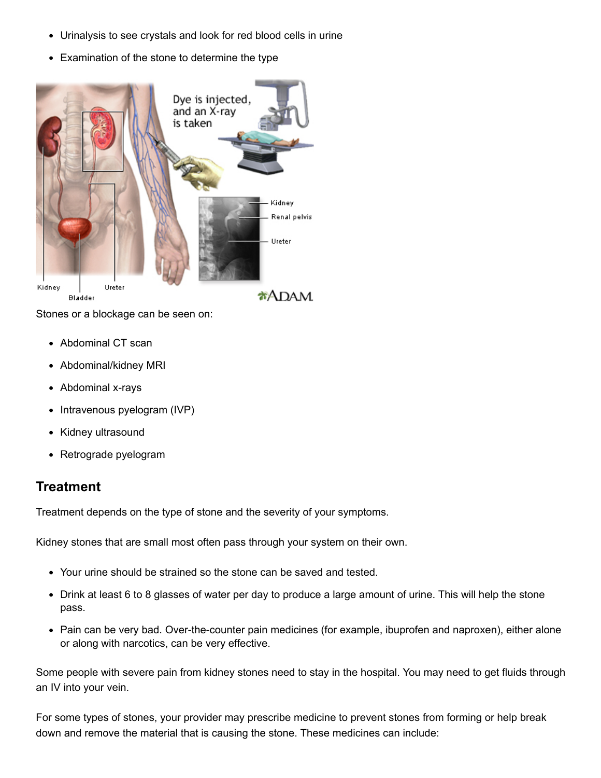- [Urinalysis](https://medlineplus.gov/ency/article/003579.htm) to see crystals and look for red [blood](https://medlineplus.gov/ency/article/003582.htm) cells in urine
- Examination of the stone to determine the type



Stones or a blockage can be seen on:

- [Abdominal](https://medlineplus.gov/ency/article/003789.htm) CT scan
- [Abdominal/kidney](https://medlineplus.gov/ency/article/003796.htm) MRI
- [Abdominal](https://medlineplus.gov/ency/article/003815.htm) x-rays
- [Intravenous](https://medlineplus.gov/ency/article/003782.htm) pyelogram [\(IVP\)](https://medlineplus.gov/ency/article/003782.htm)
- Kidney [ultrasound](https://medlineplus.gov/ency/article/003777.htm)
- Retrograde pyelogram

#### **Treatment**

Treatment depends on the type of stone and the severity of your symptoms.

Kidney stones that are small most often pass through your system on their own.

- Your urine should be strained so the stone can be saved and tested.
- Drink at least 6 to 8 glasses of water per day to [produce](https://medlineplus.gov/ency/patientinstructions/000135.htm) a large amount of urine. This will help the stone pass.
- Pain can be very bad. Over-the-counter pain medicines (for example, ibuprofen and naproxen), either alone or along with narcotics, can be very effective.

Some people with severe pain from kidney stones need to stay in the hospital. You may need to get fluids through an IV into your vein.

For some types of stones, your provider may prescribe medicine to prevent stones from forming or help break down and remove the material that is causing the stone. These medicines can include: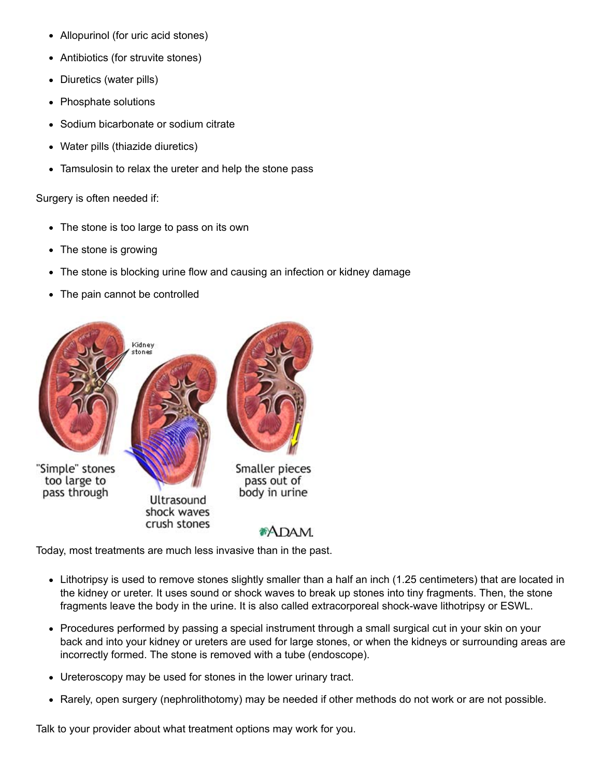- Allopurinol (for uric [acid](https://medlineplus.gov/ency/article/003476.htm) stones)
- Antibiotics (for struvite stones)
- Diuretics (water pills)
- Phosphate solutions
- Sodium bicarbonate or sodium citrate
- Water pills (thiazide diuretics)
- Tamsulosin to relax the ureter and help the stone pass

Surgery is often needed if:

- The stone is too large to pass on its own
- The stone is growing
- The stone is blocking urine flow and causing an infection or kidney damage
- The pain cannot be controlled



Today, most treatments are much less invasive than in the past.

- [Lithotripsy](https://medlineplus.gov/ency/article/007113.htm) is used to remove stones slightly smaller than a half an inch (1.25 centimeters) that are located in the kidney or ureter. It uses sound or shock waves to break up stones into tiny fragments. Then, the stone fragments leave the body in the urine. It is also called extracorporeal shock-wave lithotripsy or ESWL.
- Procedures performed by passing a special [instrument](https://medlineplus.gov/ency/article/007375.htm) through a small surgical cut in your skin on your back and into your kidney or ureters are used for large stones, or when the kidneys or surrounding areas are incorrectly formed. The stone is removed with a tube (endoscope).
- Ureteroscopy may be used for stones in the lower urinary tract.
- Rarely, open surgery (nephrolithotomy) may be needed if other methods do not work or are not possible.

Talk to your [provider](https://medlineplus.gov/ency/patientinstructions/000186.htm) about what treatment options may work for you.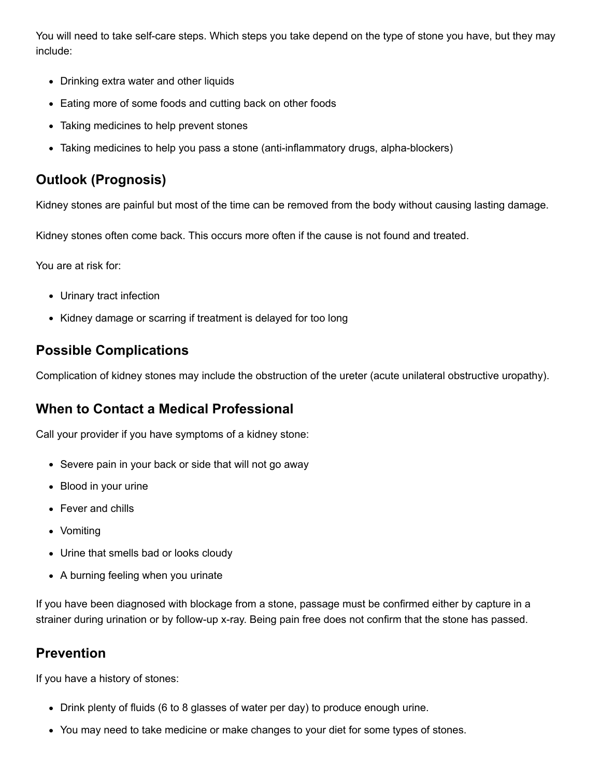You will need to take [self-care](https://medlineplus.gov/ency/patientinstructions/000135.htm) steps. Which steps you take depend on the type of stone you have, but they may include:

- Drinking extra water and other liquids
- Eating more of some foods and cutting back on other foods
- Taking medicines to help prevent stones
- Taking medicines to help you pass a stone (anti-inflammatory drugs, alpha-blockers)

# **Outlook (Prognosis)**

Kidney stones are painful but most of the time can be removed from the body without causing lasting damage.

Kidney stones often come back. This occurs more often if the cause is not found and treated.

You are at risk for:

- Urinary tract infection
- Kidney damage or scarring if treatment is delayed for too long

# **Possible Complications**

Complication of kidney stones may include the obstruction of the ureter (acute unilateral obstructive uropathy).

# **When to Contact a Medical Professional**

Call your provider if you have symptoms of a kidney stone:

- Severe pain in your back or side that will not go away
- Blood in your urine
- Fever and chills
- Vomiting
- Urine that smells bad or looks cloudy
- A burning feeling when you urinate

If you have been diagnosed with blockage from a stone, passage must be confirmed either by capture in a strainer during urination or by follow-up x-ray. Being pain free does not confirm that the stone has passed.

# **Prevention**

If you have a history of stones:

- Drink plenty of fluids (6 to 8 glasses of water per day) to produce enough urine.
- You may need to take medicine or make changes to your diet for some types of stones.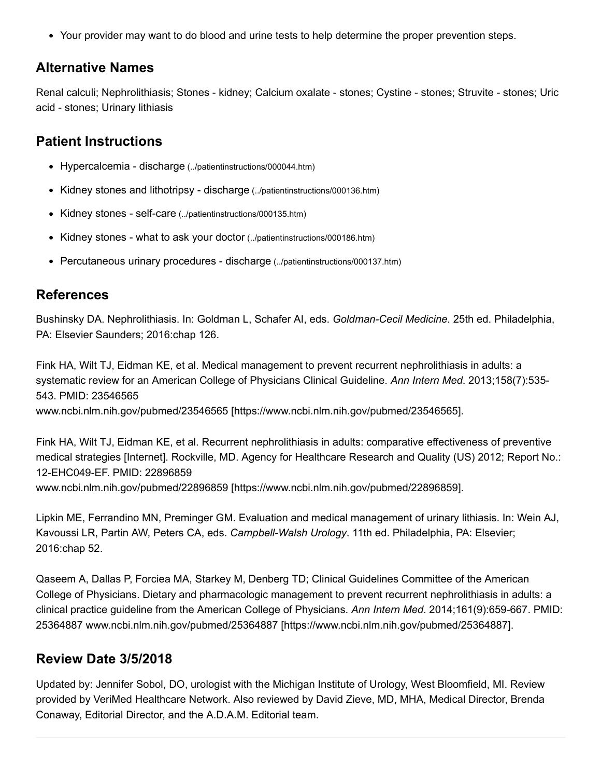Your provider may want to do blood and urine tests to help determine the proper prevention steps.

### **Alternative Names**

Renal calculi; Nephrolithiasis; Stones - kidney; Calcium oxalate - stones; Cystine - stones; Struvite - stones; Uric acid - stones; Urinary lithiasis

## **Patient Instructions**

- Hypercalcemia discharge [\(../patientinstructions/000044.htm\)](https://medlineplus.gov/ency/patientinstructions/000044.htm)
- Kidney stones and lithotripsy discharge [\(../patientinstructions/000136.htm\)](https://medlineplus.gov/ency/patientinstructions/000136.htm)
- Kidney stones self-care [\(../patientinstructions/000135.htm\)](https://medlineplus.gov/ency/patientinstructions/000135.htm)
- Kidney stones what to ask your doctor [\(../patientinstructions/000186.htm\)](https://medlineplus.gov/ency/patientinstructions/000186.htm)
- Percutaneous urinary procedures discharge [\(../patientinstructions/000137.htm\)](https://medlineplus.gov/ency/patientinstructions/000137.htm)

### **References**

Bushinsky DA. Nephrolithiasis. In: Goldman L, Schafer AI, eds. *Goldman-Cecil Medicine*. 25th ed. Philadelphia, PA: Elsevier Saunders; 2016:chap 126.

Fink HA, Wilt TJ, Eidman KE, et al. Medical management to prevent recurrent nephrolithiasis in adults: a systematic review for an American College of Physicians Clinical Guideline. *Ann Intern Med*. 2013;158(7):535- 543. PMID: 23546565 www.ncbi.nlm.nih.gov/pubmed/23546565 [\[https://www.ncbi.nlm.nih.gov/pubmed/23546565\].](https://www.ncbi.nlm.nih.gov/pubmed/23546565)

Fink HA, Wilt TJ, Eidman KE, et al. Recurrent nephrolithiasis in adults: comparative effectiveness of preventive medical strategies [Internet]. Rockville, MD. Agency for Healthcare Research and Quality (US) 2012; Report No.: 12-EHC049-EF. PMID: 22896859 www.ncbi.nlm.nih.gov/pubmed/22896859 [\[https://www.ncbi.nlm.nih.gov/pubmed/22896859\].](https://www.ncbi.nlm.nih.gov/pubmed/22896859)

Lipkin ME, Ferrandino MN, Preminger GM. Evaluation and medical management of urinary lithiasis. In: Wein AJ, Kavoussi LR, Partin AW, Peters CA, eds. *Campbell-Walsh Urology*. 11th ed. Philadelphia, PA: Elsevier; 2016:chap 52.

Qaseem A, Dallas P, Forciea MA, Starkey M, Denberg TD; Clinical Guidelines Committee of the American College of Physicians. Dietary and pharmacologic management to prevent recurrent nephrolithiasis in adults: a clinical practice guideline from the American College of Physicians. *Ann Intern Med*. 2014;161(9):659-667. PMID: 25364887 www.ncbi.nlm.nih.gov/pubmed/25364887 [\[https://www.ncbi.nlm.nih.gov/pubmed/25364887\]](https://www.ncbi.nlm.nih.gov/pubmed/25364887).

# **Review Date 3/5/2018**

Updated by: Jennifer Sobol, DO, urologist with the Michigan Institute of Urology, West Bloomfield, MI. Review provided by VeriMed Healthcare Network. Also reviewed by David Zieve, MD, MHA, Medical Director, Brenda Conaway, Editorial Director, and the A.D.A.M. Editorial team.